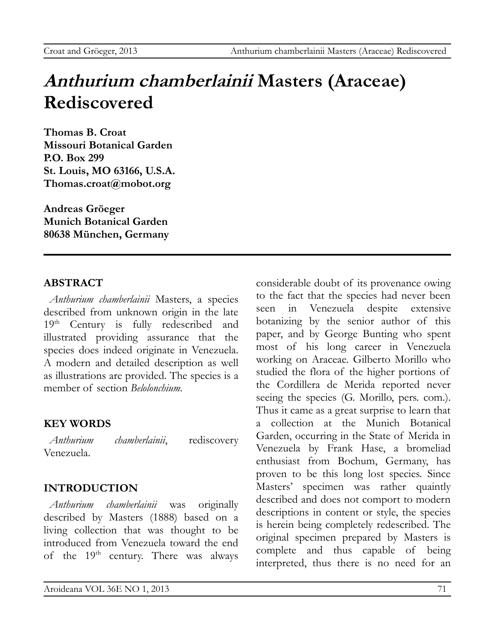# **Anthurium chamberlainii Masters (Araceae) Rediscovered**

**Thomas B. Croat Missouri Botanical Garden P.O. Box 299 St. Louis, MO 63166, U.S.A. [Thomas.croat@mobot.org](mailto:Thomas.croat@mobot.org)**

**Andreas Gröeger Munich Botanical Garden 80638 München, Germany**

#### **ABSTRACT**

*Anthurium chamberlainii* Masters, a species described from unknown origin in the late 19<sup>th</sup> Century is fully redescribed and illustrated providing assurance that the species does indeed originate in Venezuela. A modern and detailed description as well as illustrations are provided. The species is a member of section *Belolonchium.*

## **KEY WORDS**

*Anthurium chamberlainii*, rediscovery Venezuela.

## **INTRODUCTION**

*Anthurium chamberlainii* was originally described by Masters (1888) based on a living collection that was thought to be introduced from Venezuela toward the end of the 19<sup>th</sup> century. There was always

considerable doubt of its provenance owing to the fact that the species had never been seen in Venezuela despite extensive botanizing by the senior author of this paper, and by George Bunting who spent most of his long career in Venezuela working on Araceae. Gilberto Morillo who studied the flora of the higher portions of the Cordillera de Merida reported never seeing the species (G. Morillo, pers. com.). Thus it came as a great surprise to learn that a collection at the Munich Botanical Garden, occurring in the State of Merida in Venezuela by Frank Hase, a bromeliad enthusiast from Bochum, Germany, has proven to be this long lost species. Since Masters' specimen was rather quaintly described and does not comport to modern descriptions in content or style, the species is herein being completely redescribed. The original specimen prepared by Masters is complete and thus capable of being interpreted, thus there is no need for an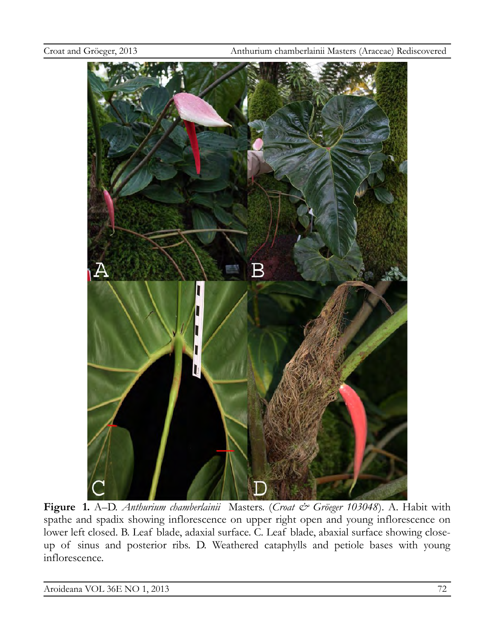

**Figure 1.** A–D. *Anthurium chamberlainii* Masters. (*Croat & Gröeger 103048*). A. Habit with spathe and spadix showing inflorescence on upper right open and young inflorescence on lower left closed. B. Leaf blade, adaxial surface. C. Leaf blade, abaxial surface showing closeup of sinus and posterior ribs. D. Weathered cataphylls and petiole bases with young inflorescence.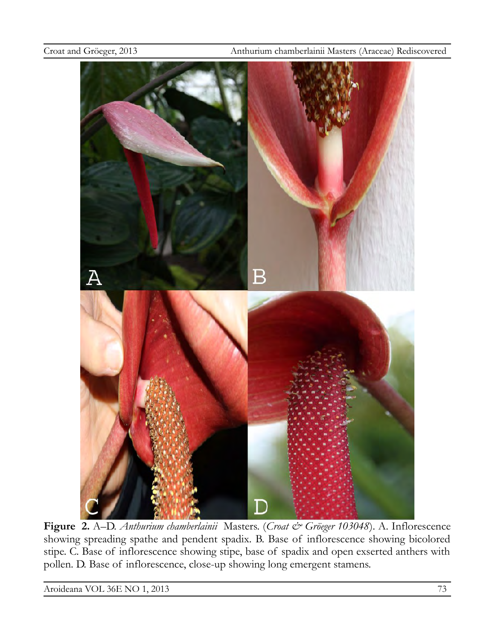

**Figure 2.** A–D. *Anthurium chamberlainii* Masters. (*Croat & Gröeger 103048*). A. Inflorescence showing spreading spathe and pendent spadix. B. Base of inflorescence showing bicolored stipe. C. Base of inflorescence showing stipe, base of spadix and open exserted anthers with pollen. D. Base of inflorescence, close-up showing long emergent stamens.

Aroideana VOL 36E NO 1, 2013 73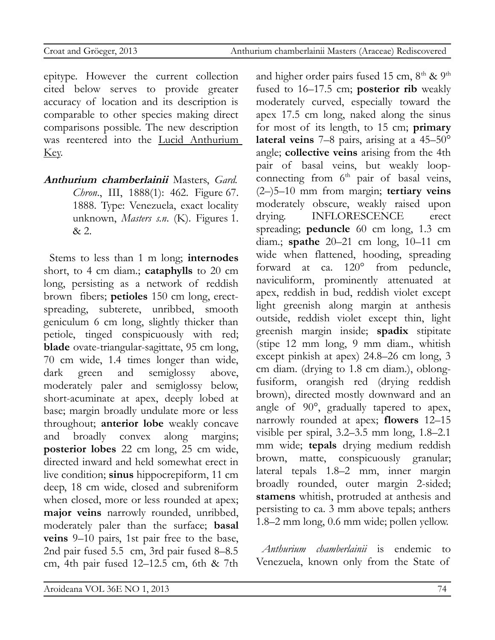epitype. However the current collection cited below serves to provide greater accuracy of location and its description is comparable to other species making direct comparisons possible. The new description was reentered into the Lucid Anthurium Key.

**Anthurium chamberlainii** Masters, *Gard. Chron.*, III, 1888(1): 462. Figure 67. 1888. Type: Venezuela, exact locality unknown, *Masters s.n*. (K). Figures 1. & 2.

Stems to less than 1 m long; **internodes** short, to 4 cm diam.; **cataphylls** to 20 cm long, persisting as a network of reddish brown fibers; **petioles** 150 cm long, erectspreading, subterete, unribbed, smooth geniculum 6 cm long, slightly thicker than petiole, tinged conspicuously with red; **blade** ovate-triangular-sagittate, 95 cm long, 70 cm wide, 1.4 times longer than wide, dark green and semiglossy above, moderately paler and semiglossy below, short-acuminate at apex, deeply lobed at base; margin broadly undulate more or less throughout; **anterior lobe** weakly concave and broadly convex along margins; **posterior lobes** 22 cm long, 25 cm wide, directed inward and held somewhat erect in live condition; **sinus** hippocrepiform, 11 cm deep, 18 cm wide, closed and subreniform when closed, more or less rounded at apex; **major veins** narrowly rounded, unribbed, moderately paler than the surface; **basal veins** 9–10 pairs, 1st pair free to the base, 2nd pair fused 5.5 cm, 3rd pair fused 8–8.5 cm, 4th pair fused 12–12.5 cm, 6th & 7th and higher order pairs fused 15 cm, 8<sup>th</sup> & 9<sup>th</sup> fused to 16–17.5 cm; **posterior rib** weakly moderately curved, especially toward the apex 17.5 cm long, naked along the sinus for most of its length, to 15 cm; **primary lateral veins** 7–8 pairs, arising at a 45–50° angle; **collective veins** arising from the 4th pair of basal veins, but weakly loopconnecting from  $6<sup>th</sup>$  pair of basal veins, (2–)5–10 mm from margin; **tertiary veins** moderately obscure, weakly raised upon drying. INFLORESCENCE erect spreading; **peduncle** 60 cm long, 1.3 cm diam.; **spathe** 20–21 cm long, 10–11 cm wide when flattened, hooding, spreading forward at ca. 120° from peduncle, naviculiform, prominently attenuated at apex, reddish in bud, reddish violet except light greenish along margin at anthesis outside, reddish violet except thin, light greenish margin inside; **spadix** stipitate (stipe 12 mm long, 9 mm diam., whitish except pinkish at apex) 24.8–26 cm long, 3 cm diam. (drying to 1.8 cm diam.), oblongfusiform, orangish red (drying reddish brown), directed mostly downward and an angle of 90°, gradually tapered to apex, narrowly rounded at apex; **flowers** 12–15 visible per spiral, 3.2–3.5 mm long, 1.8–2.1 mm wide; **tepals** drying medium reddish brown, matte, conspicuously granular; lateral tepals 1.8–2 mm, inner margin broadly rounded, outer margin 2-sided; **stamens** whitish, protruded at anthesis and persisting to ca. 3 mm above tepals; anthers 1.8–2 mm long, 0.6 mm wide; pollen yellow.

*Anthurium chamberlainii* is endemic to Venezuela, known only from the State of